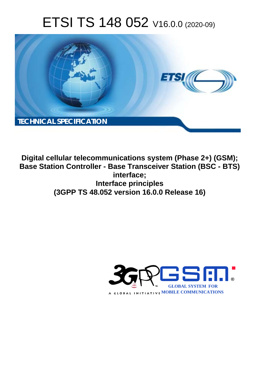# ETSI TS 148 052 V16.0.0 (2020-09)



**Digital cellular telecommunications system (Phase 2+) (GSM); Base Station Controller - Base Transceiver Station (BSC - BTS) interface; Interface principles (3GPP TS 48.052 version 16.0.0 Release 16)** 

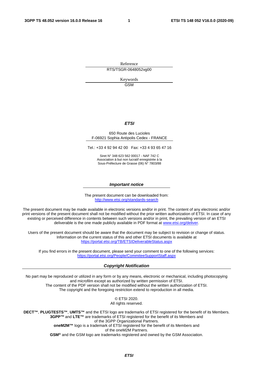Reference RTS/TSGR-0648052vg00

> Keywords GSM

#### *ETSI*

#### 650 Route des Lucioles F-06921 Sophia Antipolis Cedex - FRANCE

Tel.: +33 4 92 94 42 00 Fax: +33 4 93 65 47 16

Siret N° 348 623 562 00017 - NAF 742 C Association à but non lucratif enregistrée à la Sous-Préfecture de Grasse (06) N° 7803/88

#### *Important notice*

The present document can be downloaded from: <http://www.etsi.org/standards-search>

The present document may be made available in electronic versions and/or in print. The content of any electronic and/or print versions of the present document shall not be modified without the prior written authorization of ETSI. In case of any existing or perceived difference in contents between such versions and/or in print, the prevailing version of an ETSI deliverable is the one made publicly available in PDF format at [www.etsi.org/deliver](http://www.etsi.org/deliver).

Users of the present document should be aware that the document may be subject to revision or change of status. Information on the current status of this and other ETSI documents is available at <https://portal.etsi.org/TB/ETSIDeliverableStatus.aspx>

If you find errors in the present document, please send your comment to one of the following services: <https://portal.etsi.org/People/CommiteeSupportStaff.aspx>

#### *Copyright Notification*

No part may be reproduced or utilized in any form or by any means, electronic or mechanical, including photocopying and microfilm except as authorized by written permission of ETSI. The content of the PDF version shall not be modified without the written authorization of ETSI. The copyright and the foregoing restriction extend to reproduction in all media.

> © ETSI 2020. All rights reserved.

**DECT™**, **PLUGTESTS™**, **UMTS™** and the ETSI logo are trademarks of ETSI registered for the benefit of its Members. **3GPP™** and **LTE™** are trademarks of ETSI registered for the benefit of its Members and of the 3GPP Organizational Partners. **oneM2M™** logo is a trademark of ETSI registered for the benefit of its Members and of the oneM2M Partners. **GSM®** and the GSM logo are trademarks registered and owned by the GSM Association.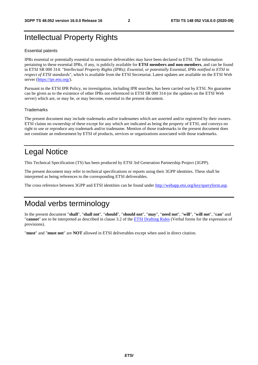## Intellectual Property Rights

#### Essential patents

IPRs essential or potentially essential to normative deliverables may have been declared to ETSI. The information pertaining to these essential IPRs, if any, is publicly available for **ETSI members and non-members**, and can be found in ETSI SR 000 314: *"Intellectual Property Rights (IPRs); Essential, or potentially Essential, IPRs notified to ETSI in respect of ETSI standards"*, which is available from the ETSI Secretariat. Latest updates are available on the ETSI Web server [\(https://ipr.etsi.org/](https://ipr.etsi.org/)).

Pursuant to the ETSI IPR Policy, no investigation, including IPR searches, has been carried out by ETSI. No guarantee can be given as to the existence of other IPRs not referenced in ETSI SR 000 314 (or the updates on the ETSI Web server) which are, or may be, or may become, essential to the present document.

#### **Trademarks**

The present document may include trademarks and/or tradenames which are asserted and/or registered by their owners. ETSI claims no ownership of these except for any which are indicated as being the property of ETSI, and conveys no right to use or reproduce any trademark and/or tradename. Mention of those trademarks in the present document does not constitute an endorsement by ETSI of products, services or organizations associated with those trademarks.

## Legal Notice

This Technical Specification (TS) has been produced by ETSI 3rd Generation Partnership Project (3GPP).

The present document may refer to technical specifications or reports using their 3GPP identities. These shall be interpreted as being references to the corresponding ETSI deliverables.

The cross reference between 3GPP and ETSI identities can be found under<http://webapp.etsi.org/key/queryform.asp>.

## Modal verbs terminology

In the present document "**shall**", "**shall not**", "**should**", "**should not**", "**may**", "**need not**", "**will**", "**will not**", "**can**" and "**cannot**" are to be interpreted as described in clause 3.2 of the [ETSI Drafting Rules](https://portal.etsi.org/Services/editHelp!/Howtostart/ETSIDraftingRules.aspx) (Verbal forms for the expression of provisions).

"**must**" and "**must not**" are **NOT** allowed in ETSI deliverables except when used in direct citation.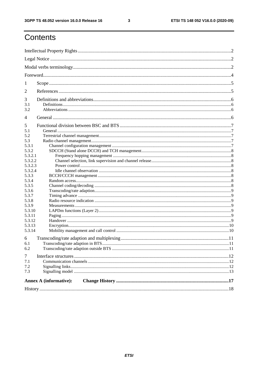$\mathbf{3}$ 

## Contents

| 1              |                               |  |  |  |  |
|----------------|-------------------------------|--|--|--|--|
| 2              |                               |  |  |  |  |
| 3              |                               |  |  |  |  |
| 3.1            |                               |  |  |  |  |
| 3.2            |                               |  |  |  |  |
| $\overline{4}$ |                               |  |  |  |  |
| 5              |                               |  |  |  |  |
| 5.1            |                               |  |  |  |  |
| 5.2            |                               |  |  |  |  |
| 5.3            |                               |  |  |  |  |
| 5.3.1          |                               |  |  |  |  |
| 5.3.2          |                               |  |  |  |  |
| 5.3.2.1        |                               |  |  |  |  |
| 5.3.2.2        |                               |  |  |  |  |
| 5.3.2.3        |                               |  |  |  |  |
| 5.3.2.4        |                               |  |  |  |  |
| 5.3.3          |                               |  |  |  |  |
| 5.3.4          |                               |  |  |  |  |
| 5.3.5          |                               |  |  |  |  |
| 5.3.6          |                               |  |  |  |  |
| 5.3.7          |                               |  |  |  |  |
| 5.3.8          |                               |  |  |  |  |
| 5.3.9          |                               |  |  |  |  |
| 5.3.10         |                               |  |  |  |  |
| 5.3.11         |                               |  |  |  |  |
| 5.3.12         |                               |  |  |  |  |
| 5.3.13         |                               |  |  |  |  |
| 5.3.14         |                               |  |  |  |  |
| 6              |                               |  |  |  |  |
| 6.1            |                               |  |  |  |  |
| 6.2            |                               |  |  |  |  |
| $\tau$         |                               |  |  |  |  |
| 7.1            |                               |  |  |  |  |
| 7.2            |                               |  |  |  |  |
| 7.3            |                               |  |  |  |  |
|                | <b>Annex A (informative):</b> |  |  |  |  |
|                |                               |  |  |  |  |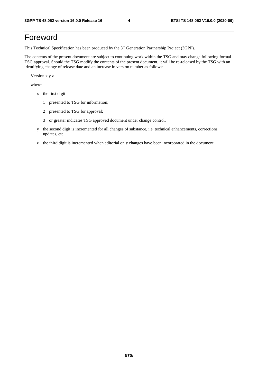## Foreword

This Technical Specification has been produced by the 3<sup>rd</sup> Generation Partnership Project (3GPP).

The contents of the present document are subject to continuing work within the TSG and may change following formal TSG approval. Should the TSG modify the contents of the present document, it will be re-released by the TSG with an identifying change of release date and an increase in version number as follows:

Version x.y.z

where:

- x the first digit:
	- 1 presented to TSG for information;
	- 2 presented to TSG for approval;
	- 3 or greater indicates TSG approved document under change control.
- y the second digit is incremented for all changes of substance, i.e. technical enhancements, corrections, updates, etc.
- z the third digit is incremented when editorial only changes have been incorporated in the document.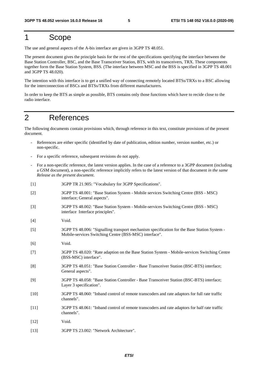## 1 Scope

The use and general aspects of the A-bis interface are given in 3GPP TS 48.051.

The present document gives the principle basis for the rest of the specifications specifying the interface between the Base Station Controller, BSC, and the Base Transceiver Station, BTS, with its transceivers, TRX. These components together form the Base Station System, BSS. (The interface between MSC and the BSS is specified in 3GPP TS 48.001 and 3GPP TS 48.020).

The intention with this interface is to get a unified way of connecting remotely located BTSs/TRXs to a BSC allowing for the interconnection of BSCs and BTSs/TRXs from different manufacturers.

In order to keep the BTS as simple as possible, BTS contains only those functions which have to recide close to the radio interface.

## 2 References

The following documents contain provisions which, through reference in this text, constitute provisions of the present document.

- References are either specific (identified by date of publication, edition number, version number, etc.) or non-specific.
- For a specific reference, subsequent revisions do not apply.
- For a non-specific reference, the latest version applies. In the case of a reference to a 3GPP document (including a GSM document), a non-specific reference implicitly refers to the latest version of that document *in the same Release as the present document*.
- [1] 3GPP TR 21.905: "Vocabulary for 3GPP Specifications".
- [2] 3GPP TS 48.001: "Base Station System Mobile services Switching Centre (BSS MSC) interface; General aspects".
- [3] 3GPP TS 48.002: "Base Station System Mobile-services Switching Centre (BSS MSC) interface Interface principles".
- [4] Void.
- [5] 3GPP TS 48.006: "Signalling transport mechanism specification for the Base Station System Mobile-services Switching Centre (BSS-MSC) interface".
- [6] Void.
- [7] 3GPP TS 48.020: "Rate adaption on the Base Station System Mobile-services Switching Centre (BSS-MSC) interface".
- [8] 3GPP TS 48.051: "Base Station Controller Base Transceiver Station (BSC-BTS) interface; General aspects".
- [9] 3GPP TS 48.058: "Base Station Controller Base Transceiver Station (BSC-BTS) interface; Layer 3 specification".
- [10] 3GPP TS 48.060: "Inband control of remote transcoders and rate adaptors for full rate traffic channels".
- [11] 3GPP TS 48.061: "Inband control of remote transcoders and rate adaptors for half rate traffic channels".
- [12] Void.
- [13] 3GPP TS 23.002: "Network Architecture".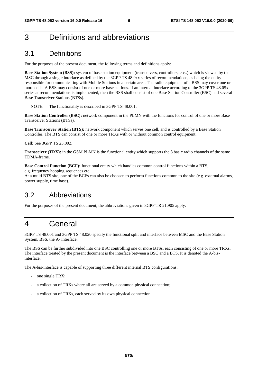## 3 Definitions and abbreviations

## 3.1 Definitions

For the purposes of the present document, the following terms and definitions apply:

**Base Station System (BSS):** system of base station equipment (transceivers, controllers, etc..) which is viewed by the MSC through a single interface as defined by the 3GPP TS 48.0xx series of recommendations, as being the entity responsible for communicating with Mobile Stations in a certain area. The radio equipment of a BSS may cover one or more cells. A BSS may consist of one or more base stations. If an internal interface according to the 3GPP TS 48.05x series at recommendations is implemented, then the BSS shall consist of one Base Station Controller (BSC) and several Base Transceiver Stations (BTSs).

NOTE: The functionality is described in 3GPP TS 48.001.

**Base Station Controller (BSC):** network component in the PLMN with the functions for control of one or more Base Transceiver Stations (BTSs).

**Base Transceiver Station (BTS):** network component which serves one cell, and is controlled by a Base Station Controller. The BTS can consist of one or more TRXs with or without common control equipment.

**Cell:** See 3GPP TS 23.002.

**Transceiver (TRX):** in the GSM PLMN is the functional entity which supports the 8 basic radio channels of the same TDMA-frame.

**Base Control Function (BCF):** functional entity which handles common control functions within a BTS, e.g. frequency hopping sequences etc.

At a multi BTS site, one of the BCFs can also be choosen to perform functions common to the site (e.g. external alarms, power supply, time base).

## 3.2 Abbreviations

For the purposes of the present document, the abbreviations given in 3GPP TR 21.905 apply.

## 4 General

3GPP TS 48.001 and 3GPP TS 48.020 specify the functional split and interface between MSC and the Base Station System, BSS, the A- interface.

The BSS can be further subdivided into one BSC controlling one or more BTSs, each consisting of one or more TRXs. The interface treated by the present document is the interface between a BSC and a BTS. It is denoted the A-bisinterface.

The A-bis-interface is capable of supporting three different internal BTS configurations:

- one single TRX;
- a collection of TRXs where all are served by a common physical connection;
- a collection of TRXs, each served by its own physical connection.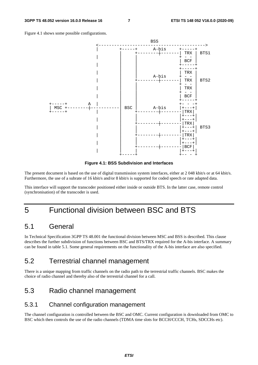



**Figure 4.1: BSS Subdivision and Interfaces** 

The present document is based on the use of digital transmission system interfaces, either at 2 048 kbit/s or at 64 kbit/s. Furthermore, the use of a subrate of 16 kbit/s and/or 8 kbit/s is supported for coded speech or rate adapted data.

This interface will support the transcoder positioned either inside or outside BTS. In the latter case, remote control (synchronisation) of the transcoder is used.

## 5 Functional division between BSC and BTS

## 5.1 General

In Technical Specification 3GPP TS 48.001 the functional division between MSC and BSS is described. This clause describes the further subdivision of functions between BSC and BTS/TRX required for the A-bis interface. A summary can be found in table 5.1. Some general requirements on the functionality of the A-bis interface are also specified.

## 5.2 Terrestrial channel management

There is a unique mapping from traffic channels on the radio path to the terrestrial traffic channels. BSC makes the choice of radio channel and thereby also of the terrestrial channel for a call.

## 5.3 Radio channel management

### 5.3.1 Channel configuration management

The channel configuration is controlled between the BSC and OMC. Current configuration is downloaded from OMC to BSC which then controls the use of the radio channels (TDMA time slots for BCCH/CCCH, TCHs, SDCCHs etc).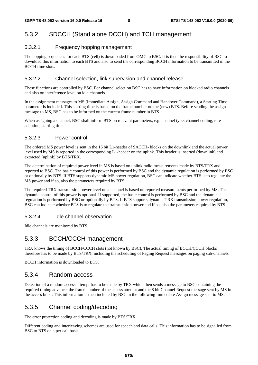### 5.3.2 SDCCH (Stand alone DCCH) and TCH management

#### 5.3.2.1 Frequency hopping management

The hopping sequences for each BTS (cell) is downloaded from OMC to BSC. It is then the responsibility of BSC to download this information to each BTS and also to send the corresponding BCCH information to be transmitted in the BCCH time slots.

#### 5.3.2.2 Channel selection, link supervision and channel release

These functions are controlled by BSC. For channel selection BSC has to have information on blocked radio channels and also on interference level on idle channels.

In the assignment messages to MS (Immediate Assign, Assign Command and Handover Command), a Starting Time parameter is included. This starting time is based on the frame number on the (new) BTS. Before sending the assign message to MS, BSC has to be informed on the current frame number in BTS.

When assigning a channel, BSC shall inform BTS on relevant parameters, e.g. channel type, channel coding, rate adaption, starting time.

#### 5.3.2.3 Power control

The ordered MS power level is sent in the 16 bit L1-header of SACCH- blocks on the downlink and the actual power level used by MS is reported in the corresponding L1-header on the uplink. This header is inserted (downlink) and extracted (uplink) by BTS/TRX.

The determination of required power level in MS is based on uplink radio measurements made by BTS/TRX and reported to BSC. The basic control of this power is performed by BSC and the dynamic regulation is performed by BSC or optionally by BTS. If BTS supports dynamic MS power regulation, BSC can indicate whether BTS is to regulate the MS power and if so, also the parameters required by BTS.

The required TRX transmission power level on a channel is based on reported measurements performed by MS. The dynamic control of this power is optional. If supported, the basic control is performed by BSC and the dynamic regulation is performed by BSC or optionally by BTS. If BTS supports dynamic TRX transmission power regulation, BSC can indicate whether BTS is to regulate the transmission power and if so, also the parameters required by BTS.

#### 5.3.2.4 Idle channel observation

Idle channels are monitored by BTS.

### 5.3.3 BCCH/CCCH management

TRX knows the timing of BCCH/CCCH slots (not known by BSC). The actual timing of BCCH/CCCH blocks therefore has to be made by BTS/TRX, including the scheduling of Paging Request messages on paging sub-channels.

BCCH information is downloaded to BTS.

### 5.3.4 Random access

Detection of a random access attempt has to be made by TRX which then sends a message to BSC containing the required timing advance, the frame number of the access attempt and the 8 bit Channel Request message sent by MS in the access burst. This information is then included by BSC in the following Immediate Assign message sent to MS.

### 5.3.5 Channel coding/decoding

The error protection coding and decoding is made by BTS/TRX.

Different coding and interleaving schemes are used for speech and data calls. This information has to be signalled from BSC to BTS on a per call basis.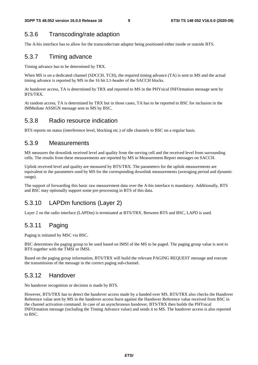## 5.3.6 Transcoding/rate adaption

The A-bis interface has to allow for the transcoder/rate adaptor being positioned either inside or outside BTS.

### 5.3.7 Timing advance

Timing advance has to be determined by TRX.

When MS is on a dedicated channel (SDCCH, TCH), the required timing advance (TA) is sent to MS and the actual timing advance is reported by MS in the 16 bit L1-header of the SACCH blocks.

At handover access, TA is determined by TRX and reported to MS in the PHYsical INFOrmation message sent by BTS/TRX.

At random access, TA is determined by TRX but in those cases, TA has to be reported to BSC for inclusion in the IMMediate ASSIGN message sent to MS by BSC.

### 5.3.8 Radio resource indication

BTS reports on status (interference level, blocking etc.) of idle channels to BSC on a regular basis.

### 5.3.9 Measurements

MS measures the downlink received level and quality from the serving cell and the received level from surrounding cells. The results from these measurements are reported by MS in Measurement Report messages on SACCH.

Uplink received level and quality are measured by BTS/TRX. The parameters for the uplink measurements are equivalent to the parameters used by MS for the corresponding downlink measurements (averaging period and dynamic range).

The support of forwarding this basic raw measurement data over the A-bis interface is mandatory. Additionally, BTS and BSC may optionally support some pre-processing in BTS of this data.

## 5.3.10 LAPDm functions (Layer 2)

Layer 2 on the radio interface (LAPDm) is terminated at BTS/TRX. Between BTS and BSC, LAPD is used.

## 5.3.11 Paging

Paging is initiated by MSC via BSC.

BSC determines the paging group to be used based on IMSI of the MS to be paged. The paging group value is sent to BTS together with the TMSI or IMSI.

Based on the paging group information, BTS/TRX will build the relevant PAGING REQUEST message and execute the transmission of the message in the correct paging sub-channel.

### 5.3.12 Handover

No handover recognition or decision is made by BTS.

However, BTS/TRX has to detect the handover access made by a handed over MS. BTS/TRX also checks the Handover Reference value sent by MS in the handover access burst against the Handover Reference value received from BSC in the channel activation command. In case of an asynchronous handover, BTS/TRX then builds the PHYsical INFOrmation message (including the Timing Advance value) and sends it to MS. The handover access is also reported to BSC.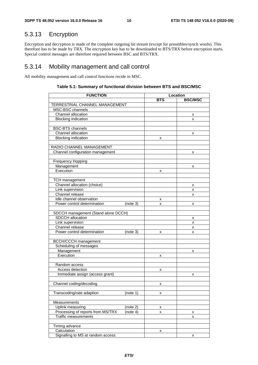## 5.3.13 Encryption

Encryption and decryption is made of the complete outgoing bit stream (except for preambles/synch words). This therefore has to be made by TRX. The encryption key has to be downloaded to BTS/TRX before encryption starts. Special control messages are therefore required between BSC and BTS/TRX.

### 5.3.14 Mobility management and call control

All mobility management and call control functions recide in MSC.

| <b>FUNCTION</b>                               | Location   |                |  |  |
|-----------------------------------------------|------------|----------------|--|--|
|                                               | <b>BTS</b> | <b>BSC/MSC</b> |  |  |
| TERRESTRIAL CHANNEL MANAGEMENT                |            |                |  |  |
| MSC-BSC channels                              |            |                |  |  |
| Channel allocation                            |            | х              |  |  |
| <b>Blocking indication</b>                    |            | x              |  |  |
|                                               |            |                |  |  |
| <b>BSC-BTS</b> channels                       |            |                |  |  |
| Channel allocation                            |            | x              |  |  |
| <b>Blocking indication</b>                    | x          |                |  |  |
|                                               |            |                |  |  |
| RADIO CHANNEL MANAGEMENT                      |            |                |  |  |
| Channel configuration management              |            | x              |  |  |
|                                               |            |                |  |  |
| <b>Frequency Hopping</b>                      |            |                |  |  |
| Management                                    |            | x              |  |  |
| Execution                                     | x          |                |  |  |
|                                               |            |                |  |  |
| <b>TCH</b> management                         |            |                |  |  |
| Channel allocation (choice)                   |            | х              |  |  |
| Link supervision                              |            | x              |  |  |
| Channel release                               |            | x              |  |  |
| Idle channel observation                      | x          |                |  |  |
| Power control determination<br>(note 3)       | x          | x              |  |  |
|                                               |            |                |  |  |
| SDCCH management (Stand alone DCCH)           |            |                |  |  |
| SDCCH allocation                              |            | х              |  |  |
| Link supervision                              |            | X              |  |  |
| Channel release                               |            | x              |  |  |
| Power control determination<br>(note 3)       | x          | x              |  |  |
|                                               |            |                |  |  |
| <b>BCCH/CCCH</b> management                   |            |                |  |  |
| Scheduling of messages                        |            |                |  |  |
| Management                                    |            | x              |  |  |
| Execution                                     | х          |                |  |  |
|                                               |            |                |  |  |
| Random access                                 |            |                |  |  |
| Access detection                              | x          |                |  |  |
| Immediate assign (access grant)               |            | x              |  |  |
| Channel coding/decoding                       |            |                |  |  |
|                                               | х          |                |  |  |
| Transcoding/rate adaption<br>(note 1)         | x          |                |  |  |
|                                               |            |                |  |  |
| Measurements                                  |            |                |  |  |
| Uplink measuring<br>(note 2)                  | х          |                |  |  |
| Processing of reports from MS/TRX<br>(note 4) | x          | х              |  |  |
| <b>Traffic measurements</b>                   |            | x              |  |  |
|                                               |            |                |  |  |
| Timing advance                                |            |                |  |  |
| Calculation                                   | x          |                |  |  |
| Signalling to MS at random access             |            | x              |  |  |

#### **Table 5.1: Summary of functional division between BTS and BSC/MSC**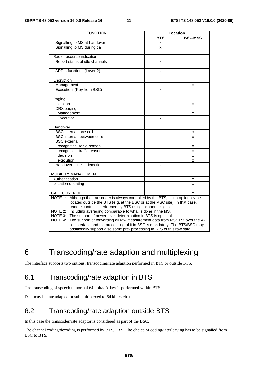| <b>FUNCTION</b>                                                                          | Location   |                |
|------------------------------------------------------------------------------------------|------------|----------------|
|                                                                                          | <b>BTS</b> | <b>BSC/MSC</b> |
| Signalling to MS at handover                                                             | x          |                |
| Signalling to MS during call                                                             | X          |                |
|                                                                                          |            |                |
| Radio resource indication                                                                |            |                |
| Report status of idle channels                                                           | x          |                |
|                                                                                          |            |                |
| LAPDm functions (Layer 2)                                                                | x          |                |
|                                                                                          |            |                |
| Encryption                                                                               |            |                |
| Management                                                                               |            | x              |
| Execution (Key from BSC)                                                                 | x          |                |
|                                                                                          |            |                |
| Paging                                                                                   |            |                |
| Initiation                                                                               |            | x              |
| DRX paging                                                                               |            |                |
| Management                                                                               |            | x              |
| Execution                                                                                | x          |                |
|                                                                                          |            |                |
| Handover                                                                                 |            |                |
| BSC internal, one cell                                                                   |            | x              |
| BSC internal, between cells                                                              |            | x              |
| <b>BSC</b> external                                                                      |            |                |
| recognition, radio reason                                                                |            | x              |
| recognition, traffic reason                                                              |            | X              |
| decision                                                                                 |            | x              |
| execution                                                                                |            | x              |
| Handover access detection                                                                | x          |                |
|                                                                                          |            |                |
| <b>MOBILITY MANAGEMENT</b>                                                               |            |                |
| Authentication                                                                           |            | x              |
| Location updating                                                                        |            | x              |
|                                                                                          |            |                |
| <b>CALL CONTROL</b>                                                                      |            | x              |
| NOTE 1:<br>Although the transcoder is always controlled by the BTS, it can optionally be |            |                |
| located outside the BTS (e.g. at the BSC or at the MSC site). In that case,              |            |                |
| remote control is performed by BTS using inchannel signalling.                           |            |                |
| Including averaging comparable to what is done in the MS.<br>NOTE 2:                     |            |                |
| NOTE 3: The support of power level determination in BTS is optional.                     |            |                |
| NOTE 4:<br>The support of forwarding all raw measurement data from MS/TRX over the A-    |            |                |
| bis interface and the processing of it in BSC is mandatory. The BTS/BSC may              |            |                |
| additionally support also some pre- processing in BTS of this raw data.                  |            |                |

## 6 Transcoding/rate adaption and multiplexing

The interface supports two options: transcoding/rate adaption performed in BTS or outside BTS.

## 6.1 Transcoding/rate adaption in BTS

The transcoding of speech to normal 64 kbit/s A-law is performed within BTS.

Data may be rate adapted or submultiplexed to 64 kbit/s circuits.

## 6.2 Transcoding/rate adaption outside BTS

In this case the transcoder/rate adaptor is considered as part of the BSC.

The channel coding/decoding is performed by BTS/TRX. The choice of coding/interleaving has to be signalled from BSC to BTS.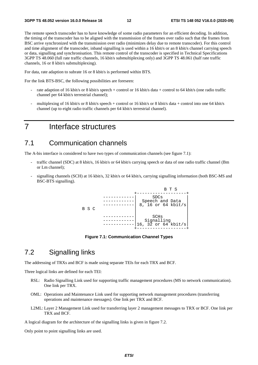The remote speech transcoder has to have knowledge of some radio parameters for an efficient decoding. In addition, the timing of the transcoder has to be aligned with the transmission of the frames over radio such that the frames from BSC arrive synchronized with the transmission over radio (minimizes delay due to remote transcoder). For this control and time alignment of the transcoder, inband signalling is used within a 16 kbit/s or an 8 kbit/s channel carrying speech or data, signalling and synchronisation. This remote control of the transcoder is specified in Technical Specifications 3GPP TS 48.060 (full rate traffic channels, 16 kbit/s submultiplexing only) and 3GPP TS 48.061 (half rate traffic channels, 16 or 8 kbit/s submultiplexing).

For data, rate adaption to subrate 16 or 8 kbit/s is performed within BTS.

For the link BTS-BSC, the following possibilities are foreseen:

- rate adaption of 16 kbit/s or 8 kbit/s speech + control or 16 kbit/s data + control to 64 kbit/s (one radio traffic channel per 64 kbit/s terrestrial channel);
- multiplexing of 16 kbit/s or 8 kbit/s speech + control or 16 kbit/s or 8 kbit/s data + control into one 64 kbit/s channel (up to eight radio traffic channels per 64 kbit/s terrestrial channel).

## 7 Interface structures

### 7.1 Communication channels

The A-bis interface is considered to have two types of communication channels (see figure 7.1):

- traffic channel (SDC) at 8 kbit/s, 16 kbit/s or 64 kbit/s carrying speech or data of one radio traffic channel (Bm or Lm channel);
- signalling channels (SCH) at 16 kbit/s, 32 kbit/s or 64 kbit/s, carrying signalling information (both BSC-MS and BSC-BTS signalling).



**Figure 7.1: Communication Channel Types** 

## 7.2 Signalling links

The addressing of TRXs and BCF is made using separate TEIs for each TRX and BCF.

Three logical links are defined for each TEI:

- RSL: Radio Signalling Link used for supporting traffic management procedures (MS to network communication). One link per TRX.
- OML: Operations and Maintenance Link used for supporting network management procedures (transferring operations and maintenance messages). One link per TRX and BCF.
- L2ML: Layer 2 Management Link used for transferring layer 2 management messages to TRX or BCF. One link per TRX and BCF.

A logical diagram for the architecture of the signalling links is given in figure 7.2.

Only point to point signalling links are used.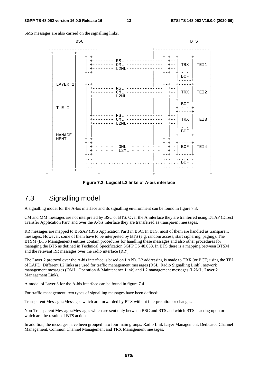SMS messages are also carried on the signalling links.



**Figure 7.2: Logical L2 links of A-bis interface** 

## 7.3 Signalling model

A signalling model for the A-bis interface and its signalling environment can be found in figure 7.3.

CM and MM messages are not interpreted by BSC or BTS. Over the A interface they are tranferred using DTAP (Direct Transfer Application Part) and over the A-bis interface they are transferred as transparent messages.

RR messages are mapped to BSSAP (BSS Application Part) in BSC. In BTS, most of them are handled as transparent messages. However, some of them have to be interpreted by BTS (e.g. random access, start ciphering, paging). The BTSM (BTS Management) entities contain procedures for handling these messages and also other procedures for managing the BTS as defined in Technical Specification 3GPP TS 48.058. In BTS there is a mapping between BTSM and the relevant RR messages over the radio interface (RR').

The Layer 2 protocol over the A-bis interface is based on LAPD. L2 addressing is made to TRX (or BCF) using the TEI of LAPD. Different L2 links are used for traffic management messages (RSL, Radio Signalling Link), network management messages (OML, Operation & Maintenance Link) and L2 management messages (L2ML, Layer 2 Management Link).

A model of Layer 3 for the A-bis interface can be found in figure 7.4.

For traffic management, two types of signalling messages have been defined:

Transparent Messages:Messages which are forwarded by BTS without interpretation or changes.

Non-Transparent Messages:Messages which are sent only between BSC and BTS and which BTS is acting upon or which are the results of BTS actions.

In addition, the messages have been grouped into four main groups: Radio Link Layer Management, Dedicated Channel Management, Common Channel Management and TRX Management messages.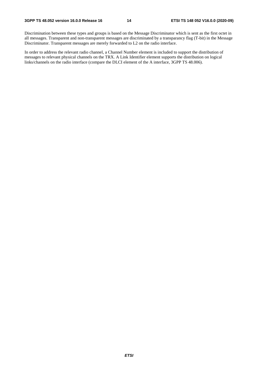Discrimination between these types and groups is based on the Message Discriminator which is sent as the first octet in all messages. Transparent and non-transparent messages are discriminated by a transparancy flag (T-bit) in the Message Discriminator. Transparent messages are merely forwarded to L2 on the radio interface.

In order to address the relevant radio channel, a Channel Number element is included to support the distribution of messages to relevant physical channels on the TRX. A Link Identifier element supports the distribution on logical links/channels on the radio interface (compare the DLCI element of the A interface, 3GPP TS 48.006).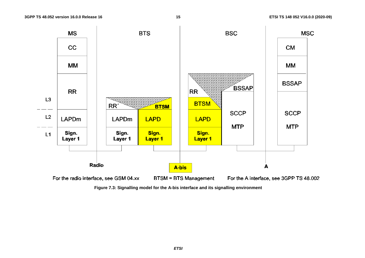

**Figure 7.3: Signalling model for the A-bis interface and its signalling environment**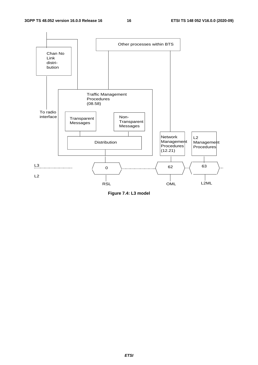

**Figure 7.4: L3 model**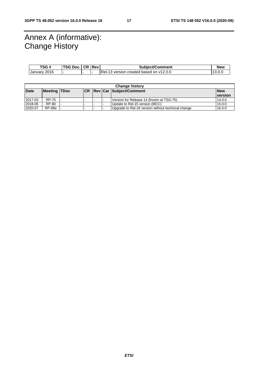## Annex A (informative): Change History

| TSG#         | <b>TSG Doc.</b> | I CR I | <b>Rev</b> | <b>Subiect/Comment</b>                     | <b>New</b> |
|--------------|-----------------|--------|------------|--------------------------------------------|------------|
| January 2016 |                 |        |            | Rel-15<br>version created based on v12.0.0 | 13.U.U     |

| <b>Change history</b> |              |  |  |  |  |                                                    |                |
|-----------------------|--------------|--|--|--|--|----------------------------------------------------|----------------|
| Date                  | Meeting TDoc |  |  |  |  | <b>CR Rev Cat Subject/Comment</b>                  | <b>New</b>     |
|                       |              |  |  |  |  |                                                    | <b>version</b> |
| 2017-03               | RP-75        |  |  |  |  | Version for Release 14 (frozen at TSG-75)          | 14.0.0         |
| 2018-06               | RP-80        |  |  |  |  | Update to Rel-15 version (MCC)                     | 15.0.0         |
| 2020-07               | RP-88e       |  |  |  |  | Upgrade to Rel-16 version without technical change | 16.0.0         |